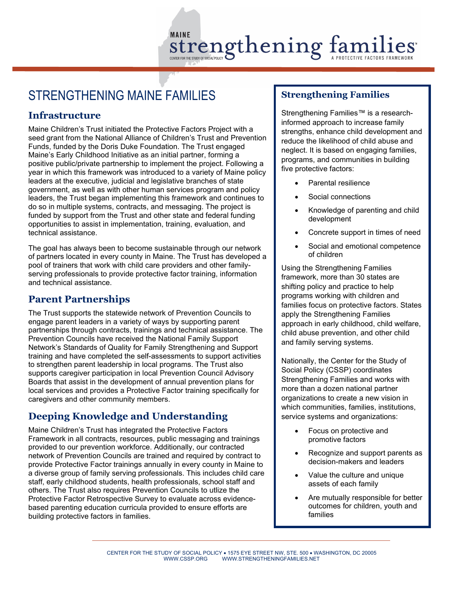# strengthening fami

# STRENGTHENING MAINE FAMILIES

### **Infrastructure**

Maine Children's Trust initiated the Protective Factors Project with a seed grant from the National Alliance of Children's Trust and Prevention Funds, funded by the Doris Duke Foundation. The Trust engaged Maine's Early Childhood Initiative as an initial partner, forming a positive public/private partnership to implement the project. Following a year in which this framework was introduced to a variety of Maine policy leaders at the executive, judicial and legislative branches of state government, as well as with other human services program and policy leaders, the Trust began implementing this framework and continues to do so in multiple systems, contracts, and messaging. The project is funded by support from the Trust and other state and federal funding opportunities to assist in implementation, training, evaluation, and technical assistance.

The goal has always been to become sustainable through our network of partners located in every county in Maine. The Trust has developed a pool of trainers that work with child care providers and other familyserving professionals to provide protective factor training, information and technical assistance.

### **Parent Partnerships**

The Trust supports the statewide network of Prevention Councils to engage parent leaders in a variety of ways by supporting parent partnerships through contracts, trainings and technical assistance. The Prevention Councils have received the National Family Support Network's Standards of Quality for Family Strengthening and Support training and have completed the self-assessments to support activities to strengthen parent leadership in local programs. The Trust also supports caregiver participation in local Prevention Council Advisory Boards that assist in the development of annual prevention plans for local services and provides a Protective Factor training specifically for caregivers and other community members.

## **Deeping Knowledge and Understanding**

Maine Children's Trust has integrated the Protective Factors Framework in all contracts, resources, public messaging and trainings provided to our prevention workforce. Additionally, our contracted network of Prevention Councils are trained and required by contract to provide Protective Factor trainings annually in every county in Maine to a diverse group of family serving professionals. This includes child care staff, early childhood students, health professionals, school staff and others. The Trust also requires Prevention Councils to utlize the Protective Factor Retrospective Survey to evaluate across evidencebased parenting education curricula provided to ensure efforts are building protective factors in families.

### **Strengthening Families**

Strengthening Families™ is a researchinformed approach to increase family strengths, enhance child development and reduce the likelihood of child abuse and neglect. It is based on engaging families, programs, and communities in building five protective factors:

- Parental resilience
- Social connections
- Knowledge of parenting and child development
- Concrete support in times of need
- Social and emotional competence of children

Using the Strengthening Families framework, more than 30 states are shifting policy and practice to help programs working with children and families focus on protective factors. States apply the Strengthening Families approach in early childhood, child welfare, child abuse prevention, and other child and family serving systems.

Nationally, the Center for the Study of Social Policy (CSSP) coordinates Strengthening Families and works with more than a dozen national partner organizations to create a new vision in which communities, families, institutions, service systems and organizations:

- Focus on protective and promotive factors
- Recognize and support parents as decision-makers and leaders
- Value the culture and unique assets of each family
- Are mutually responsible for better outcomes for children, youth and families